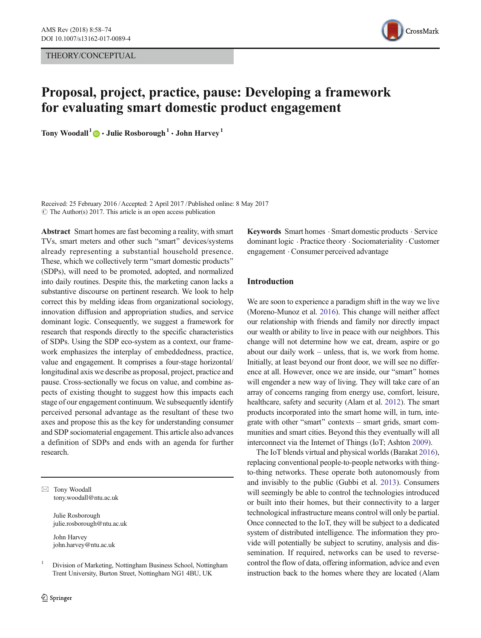THEORY/CONCEPTUAL



# Proposal, project, practice, pause: Developing a framework for evaluating smart domestic product engagement

Tony Woodall<sup>1</sup>  $\bullet$  · Julie Rosborough<sup>1</sup> · John Harvey<sup>1</sup>

Received: 25 February 2016 /Accepted: 2 April 2017 /Published online: 8 May 2017  $\circ$  The Author(s) 2017. This article is an open access publication

Abstract Smart homes are fast becoming a reality, with smart TVs, smart meters and other such "smart" devices/systems already representing a substantial household presence. These, which we collectively term "smart domestic products" (SDPs), will need to be promoted, adopted, and normalized into daily routines. Despite this, the marketing canon lacks a substantive discourse on pertinent research. We look to help correct this by melding ideas from organizational sociology, innovation diffusion and appropriation studies, and service dominant logic. Consequently, we suggest a framework for research that responds directly to the specific characteristics of SDPs. Using the SDP eco-system as a context, our framework emphasizes the interplay of embeddedness, practice, value and engagement. It comprises a four-stage horizontal/ longitudinal axis we describe as proposal, project, practice and pause. Cross-sectionally we focus on value, and combine aspects of existing thought to suggest how this impacts each stage of our engagement continuum. We subsequently identify perceived personal advantage as the resultant of these two axes and propose this as the key for understanding consumer and SDP sociomaterial engagement. This article also advances a definition of SDPs and ends with an agenda for further research.

 $\boxtimes$  Tony Woodall tony.woodall@ntu.ac.uk

> Julie Rosborough julie.rosborough@ntu.ac.uk

John Harvey john.harvey@ntu.ac.uk

Keywords Smart homes . Smart domestic products . Service dominant logic . Practice theory . Sociomateriality . Customer engagement . Consumer perceived advantage

## Introduction

We are soon to experience a paradigm shift in the way we live (Moreno-Munoz et al. [2016\)](#page-15-0). This change will neither affect our relationship with friends and family nor directly impact our wealth or ability to live in peace with our neighbors. This change will not determine how we eat, dream, aspire or go about our daily work – unless, that is, we work from home. Initially, at least beyond our front door, we will see no difference at all. However, once we are inside, our "smart" homes will engender a new way of living. They will take care of an array of concerns ranging from energy use, comfort, leisure, healthcare, safety and security (Alam et al. [2012](#page-14-0)). The smart products incorporated into the smart home will, in turn, integrate with other "smart" contexts – smart grids, smart communities and smart cities. Beyond this they eventually will all interconnect via the Internet of Things (IoT; Ashton [2009](#page-14-0)).

The IoT blends virtual and physical worlds (Barakat [2016\)](#page-14-0), replacing conventional people-to-people networks with thingto-thing networks. These operate both autonomously from and invisibly to the public (Gubbi et al. [2013](#page-14-0)). Consumers will seemingly be able to control the technologies introduced or built into their homes, but their connectivity to a larger technological infrastructure means control will only be partial. Once connected to the IoT, they will be subject to a dedicated system of distributed intelligence. The information they provide will potentially be subject to scrutiny, analysis and dissemination. If required, networks can be used to reversecontrol the flow of data, offering information, advice and even instruction back to the homes where they are located (Alam

<sup>&</sup>lt;sup>1</sup> Division of Marketing, Nottingham Business School, Nottingham Trent University, Burton Street, Nottingham NG1 4BU, UK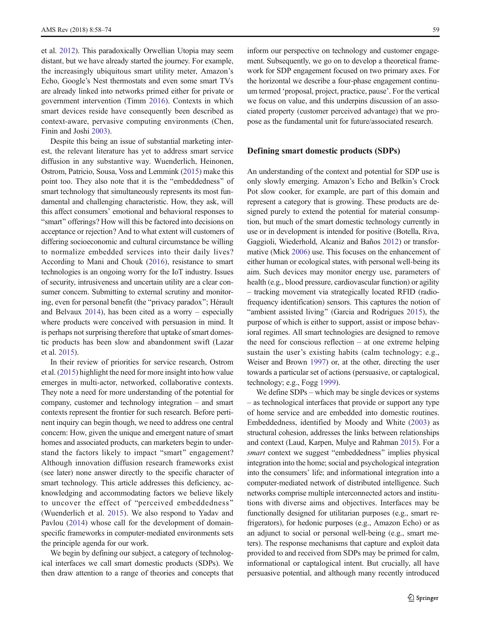et al. [2012](#page-14-0)). This paradoxically Orwellian Utopia may seem distant, but we have already started the journey. For example, the increasingly ubiquitous smart utility meter, Amazon's Echo, Google's Nest thermostats and even some smart TVs are already linked into networks primed either for private or government intervention (Timm [2016\)](#page-16-0). Contexts in which smart devices reside have consequently been described as context-aware, pervasive computing environments (Chen, Finin and Joshi [2003\)](#page-14-0).

Despite this being an issue of substantial marketing interest, the relevant literature has yet to address smart service diffusion in any substantive way. Wuenderlich, Heinonen, Ostrom, Patricio, Sousa, Voss and Lemmink [\(2015\)](#page-16-0) make this point too. They also note that it is the "embeddedness" of smart technology that simultaneously represents its most fundamental and challenging characteristic. How, they ask, will this affect consumers' emotional and behavioral responses to "smart" offerings? How will this be factored into decisions on acceptance or rejection? And to what extent will customers of differing socioeconomic and cultural circumstance be willing to normalize embedded services into their daily lives? According to Mani and Chouk [\(2016](#page-15-0)), resistance to smart technologies is an ongoing worry for the IoT industry. Issues of security, intrusiveness and uncertain utility are a clear consumer concern. Submitting to external scrutiny and monitoring, even for personal benefit (the "privacy paradox"; Hérault and Belvaux [2014\)](#page-14-0), has been cited as a worry – especially where products were conceived with persuasion in mind. It is perhaps not surprising therefore that uptake of smart domestic products has been slow and abandonment swift (Lazar et al. [2015](#page-15-0)).

In their review of priorities for service research, Ostrom et al. [\(2015\)](#page-15-0) highlight the need for more insight into how value emerges in multi-actor, networked, collaborative contexts. They note a need for more understanding of the potential for company, customer and technology integration – and smart contexts represent the frontier for such research. Before pertinent inquiry can begin though, we need to address one central concern: How, given the unique and emergent nature of smart homes and associated products, can marketers begin to understand the factors likely to impact "smart" engagement? Although innovation diffusion research frameworks exist (see later) none answer directly to the specific character of smart technology. This article addresses this deficiency, acknowledging and accommodating factors we believe likely to uncover the effect of "perceived embeddedness" (Wuenderlich et al. [2015](#page-16-0)). We also respond to Yadav and Pavlou [\(2014](#page-16-0)) whose call for the development of domainspecific frameworks in computer-mediated environments sets the principle agenda for our work.

We begin by defining our subject, a category of technological interfaces we call smart domestic products (SDPs). We then draw attention to a range of theories and concepts that inform our perspective on technology and customer engagement. Subsequently, we go on to develop a theoretical framework for SDP engagement focused on two primary axes. For the horizontal we describe a four-phase engagement continuum termed 'proposal, project, practice, pause'. For the vertical we focus on value, and this underpins discussion of an associated property (customer perceived advantage) that we propose as the fundamental unit for future/associated research.

#### Defining smart domestic products (SDPs)

An understanding of the context and potential for SDP use is only slowly emerging. Amazon's Echo and Belkin's Crock Pot slow cooker, for example, are part of this domain and represent a category that is growing. These products are designed purely to extend the potential for material consumption, but much of the smart domestic technology currently in use or in development is intended for positive (Botella, Riva, Gaggioli, Wiederhold, Alcaniz and Baños [2012\)](#page-14-0) or transformative (Mick [2006\)](#page-15-0) use. This focuses on the enhancement of either human or ecological states, with personal well-being its aim. Such devices may monitor energy use, parameters of health (e.g., blood pressure, cardiovascular function) or agility – tracking movement via strategically located RFID (radiofrequency identification) sensors. This captures the notion of "ambient assisted living" (Garcia and Rodrigues [2015](#page-14-0)), the purpose of which is either to support, assist or impose behavioral regimes. All smart technologies are designed to remove the need for conscious reflection – at one extreme helping sustain the user's existing habits (calm technology; e.g., Weiser and Brown [1997\)](#page-16-0) or, at the other, directing the user towards a particular set of actions (persuasive, or captalogical, technology; e.g., Fogg [1999\)](#page-14-0).

We define SDPs – which may be single devices or systems – as technological interfaces that provide or support any type of home service and are embedded into domestic routines. Embeddedness, identified by Moody and White [\(2003\)](#page-15-0) as structural cohesion, addresses the links between relationships and context (Laud, Karpen, Mulye and Rahman [2015\)](#page-15-0). For a smart context we suggest "embeddedness" implies physical integration into the home; social and psychological integration into the consumers' life; and informational integration into a computer-mediated network of distributed intelligence. Such networks comprise multiple interconnected actors and institutions with diverse aims and objectives. Interfaces may be functionally designed for utilitarian purposes (e.g., smart refrigerators), for hedonic purposes (e.g., Amazon Echo) or as an adjunct to social or personal well-being (e.g., smart meters). The response mechanisms that capture and exploit data provided to and received from SDPs may be primed for calm, informational or captalogical intent. But crucially, all have persuasive potential, and although many recently introduced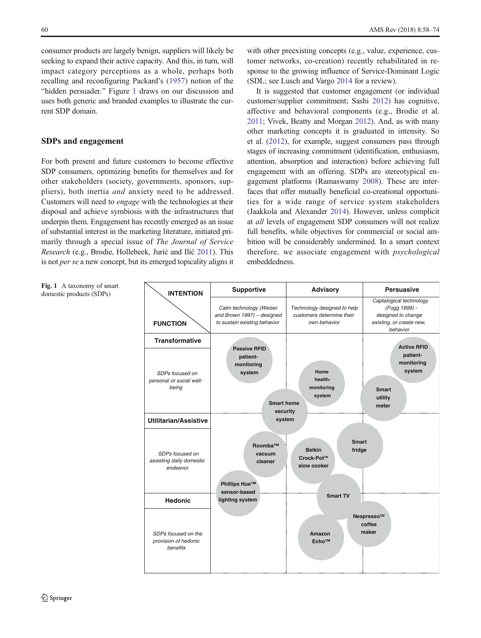<span id="page-2-0"></span>consumer products are largely benign, suppliers will likely be seeking to expand their active capacity. And this, in turn, will impact category perceptions as a whole, perhaps both recalling and reconfiguring Packard's [\(1957](#page-15-0)) notion of the "hidden persuader." Figure 1 draws on our discussion and uses both generic and branded examples to illustrate the current SDP domain.

#### SDPs and engagement

For both present and future customers to become effective SDP consumers, optimizing benefits for themselves and for other stakeholders (society, governments, sponsors, suppliers), both inertia and anxiety need to be addressed. Customers will need to engage with the technologies at their disposal and achieve symbiosis with the infrastructures that underpin them. Engagement has recently emerged as an issue of substantial interest in the marketing literature, initiated primarily through a special issue of The Journal of Service Research (e.g., Brodie, Hollebeek, Jurić and Ilić [2011](#page-14-0)). This is not per se a new concept, but its emerged topicality aligns it

with other preexisting concepts (e.g., value, experience, customer networks, co-creation) recently rehabilitated in response to the growing influence of Service-Dominant Logic (SDL; see Lusch and Vargo [2014](#page-15-0) for a review).

It is suggested that customer engagement (or individual customer/supplier commitment; Sashi [2012\)](#page-16-0) has cognitive, affective and behavioral components (e.g., Brodie et al. [2011](#page-14-0); Vivek, Beatty and Morgan [2012](#page-16-0)). And, as with many other marketing concepts it is graduated in intensity. So et al. ([2012](#page-16-0)), for example, suggest consumers pass through stages of increasing commitment (identification, enthusiasm, attention, absorption and interaction) before achieving full engagement with an offering. SDPs are stereotypical engagement platforms (Ramaswamy [2008\)](#page-15-0). These are interfaces that offer mutually beneficial co-creational opportunities for a wide range of service system stakeholders (Jaakkola and Alexander [2014\)](#page-15-0). However, unless complicit at all levels of engagement SDP consumers will not realize full benefits, while objectives for commercial or social ambition will be considerably undermined. In a smart context therefore, we associate engagement with psychological embeddedness.

Fig. 1 A taxonomy of smart domestic products (SDPs)

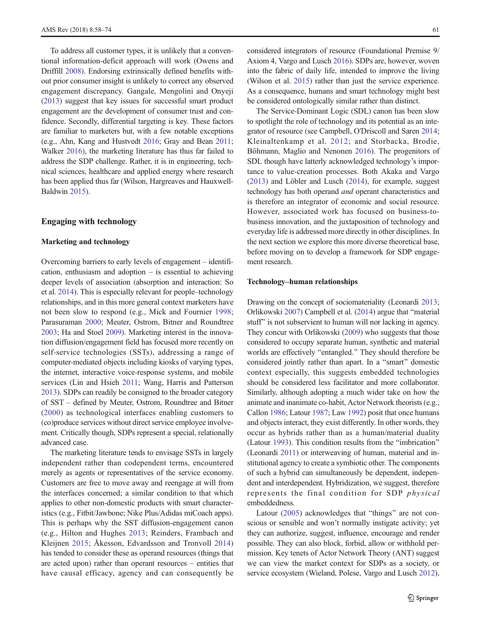To address all customer types, it is unlikely that a conventional information-deficit approach will work (Owens and Driffill [2008\)](#page-15-0). Endorsing extrinsically defined benefits without prior consumer insight is unlikely to correct any observed engagement discrepancy. Gangale, Mengolini and Onyeji [\(2013\)](#page-14-0) suggest that key issues for successful smart product engagement are the development of consumer trust and confidence. Secondly, differential targeting is key. These factors are familiar to marketers but, with a few notable exceptions (e.g., Ahn, Kang and Hustvedt [2016](#page-13-0); Gray and Bean [2011](#page-14-0); Walker [2016\)](#page-16-0), the marketing literature has thus far failed to address the SDP challenge. Rather, it is in engineering, technical sciences, healthcare and applied energy where research has been applied thus far (Wilson, Hargreaves and Hauxwell-Baldwin [2015](#page-16-0)).

### Engaging with technology

#### Marketing and technology

Overcoming barriers to early levels of engagement – identification, enthusiasm and adoption  $-$  is essential to achieving deeper levels of association (absorption and interaction: So et al. [2014\)](#page-16-0). This is especially relevant for people–technology relationships, and in this more general context marketers have not been slow to respond (e.g., Mick and Fournier [1998](#page-15-0); Parasuraman [2000](#page-15-0); Meuter, Ostrom, Bitner and Roundtree [2003;](#page-15-0) Ha and Stoel [2009\)](#page-14-0). Marketing interest in the innovation diffusion/engagement field has focused more recently on self-service technologies (SSTs), addressing a range of computer-mediated objects including kiosks of varying types, the internet, interactive voice-response systems, and mobile services (Lin and Hsieh [2011](#page-15-0); Wang, Harris and Patterson [2013\)](#page-16-0). SDPs can readily be consigned to the broader category of SST – defined by Meuter, Ostrom, Roundtree and Bitner [\(2000\)](#page-15-0) as technological interfaces enabling customers to (co)produce services without direct service employee involvement. Critically though, SDPs represent a special, relationally advanced case.

The marketing literature tends to envisage SSTs in largely independent rather than codependent terms, encountered merely as agents or representatives of the service economy. Customers are free to move away and reengage at will from the interfaces concerned; a similar condition to that which applies to other non-domestic products with smart characteristics (e.g., Fitbit/Jawbone; Nike Plus/Adidas miCoach apps). This is perhaps why the SST diffusion-engagement canon (e.g., Hilton and Hughes [2013](#page-15-0); Reinders, Frambach and Kleijnen [2015;](#page-16-0) Åkesson, Edvardsson and Tronvoll [2014\)](#page-14-0) has tended to consider these as operand resources (things that are acted upon) rather than operant resources – entities that have causal efficacy, agency and can consequently be considered integrators of resource (Foundational Premise 9/ Axiom 4, Vargo and Lusch [2016](#page-16-0)). SDPs are, however, woven into the fabric of daily life, intended to improve the living (Wilson et al. [2015](#page-16-0)) rather than just the service experience. As a consequence, humans and smart technology might best be considered ontologically similar rather than distinct.

The Service-Dominant Logic (SDL) canon has been slow to spotlight the role of technology and its potential as an integrator of resource (see Campbell, O'Driscoll and Saren [2014;](#page-14-0) Kleinaltenkamp et al. [2012;](#page-15-0) and Storbacka, Brodie, Böhmann, Maglio and Nenonen [2016\)](#page-16-0). The progenitors of SDL though have latterly acknowledged technology's importance to value-creation processes. Both Akaka and Vargo [\(2013\)](#page-14-0) and Löbler and Lusch ([2014\)](#page-15-0), for example, suggest technology has both operand and operant characteristics and is therefore an integrator of economic and social resource. However, associated work has focused on business-tobusiness innovation, and the juxtaposition of technology and everyday life is addressed more directly in other disciplines. In the next section we explore this more diverse theoretical base, before moving on to develop a framework for SDP engagement research.

#### Technology–human relationships

Drawing on the concept of sociomateriality (Leonardi [2013;](#page-15-0) Orlikowski [2007\)](#page-15-0) Campbell et al. [\(2014\)](#page-14-0) argue that "material stuff" is not subservient to human will nor lacking in agency. They concur with Orlikowski ([2009](#page-15-0)) who suggests that those considered to occupy separate human, synthetic and material worlds are effectively "entangled." They should therefore be considered jointly rather than apart. In a "smart" domestic context especially, this suggests embedded technologies should be considered less facilitator and more collaborator. Similarly, although adopting a much wider take on how the animate and inanimate co-habit, Actor Network theorists (e.g., Callon [1986;](#page-14-0) Latour [1987](#page-15-0); Law [1992](#page-15-0)) posit that once humans and objects interact, they exist differently. In other words, they occur as hybrids rather than as a human/material duality  $(Latour 1993)$  $(Latour 1993)$ . This condition results from the "imbrication" (Leonardi [2011\)](#page-15-0) or interweaving of human, material and institutional agency to create a symbiotic other. The components of such a hybrid can simultaneously be dependent, independent and interdependent. Hybridization, we suggest, therefore represents the final condition for SDP physical embeddedness.

Latour  $(2005)$  $(2005)$  acknowledges that "things" are not conscious or sensible and won't normally instigate activity; yet they can authorize, suggest, influence, encourage and render possible. They can also block, forbid, allow or withhold permission. Key tenets of Actor Network Theory (ANT) suggest we can view the market context for SDPs as a society, or service ecosystem (Wieland, Polese, Vargo and Lusch [2012\)](#page-16-0),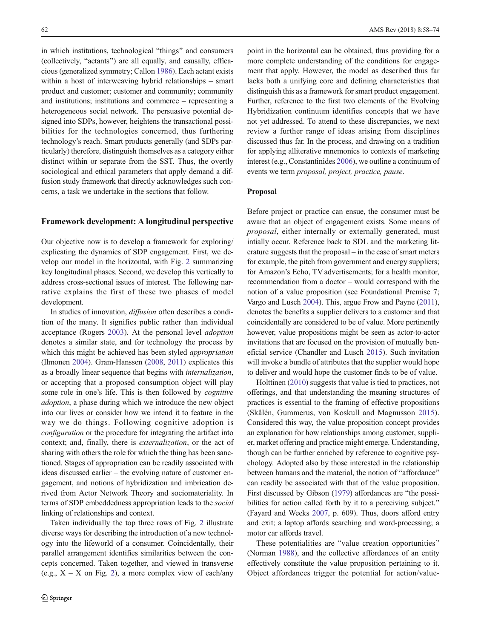in which institutions, technological "things" and consumers (collectively, "actants") are all equally, and causally, efficacious (generalized symmetry; Callon [1986\)](#page-14-0). Each actant exists within a host of interweaving hybrid relationships – smart product and customer; customer and community; community and institutions; institutions and commerce – representing a heterogeneous social network. The persuasive potential designed into SDPs, however, heightens the transactional possibilities for the technologies concerned, thus furthering technology's reach. Smart products generally (and SDPs particularly) therefore, distinguish themselves as a category either distinct within or separate from the SST. Thus, the overtly sociological and ethical parameters that apply demand a diffusion study framework that directly acknowledges such concerns, a task we undertake in the sections that follow.

#### Framework development: A longitudinal perspective

Our objective now is to develop a framework for exploring/ explicating the dynamics of SDP engagement. First, we develop our model in the horizontal, with Fig. [2](#page-5-0) summarizing key longitudinal phases. Second, we develop this vertically to address cross-sectional issues of interest. The following narrative explains the first of these two phases of model development.

In studies of innovation, diffusion often describes a condition of the many. It signifies public rather than individual acceptance (Rogers [2003\)](#page-16-0). At the personal level adoption denotes a similar state, and for technology the process by which this might be achieved has been styled *appropriation* (Ilmonen [2004](#page-15-0)). Gram-Hanssen ([2008](#page-14-0), [2011](#page-14-0)) explicates this as a broadly linear sequence that begins with internalization, or accepting that a proposed consumption object will play some role in one's life. This is then followed by *cognitive* adoption, a phase during which we introduce the new object into our lives or consider how we intend it to feature in the way we do things. Following cognitive adoption is configuration or the procedure for integrating the artifact into context; and, finally, there is externalization, or the act of sharing with others the role for which the thing has been sanctioned. Stages of appropriation can be readily associated with ideas discussed earlier – the evolving nature of customer engagement, and notions of hybridization and imbrication derived from Actor Network Theory and sociomateriality. In terms of SDP embeddedness appropriation leads to the social linking of relationships and context.

Taken individually the top three rows of Fig. [2](#page-5-0) illustrate diverse ways for describing the introduction of a new technology into the lifeworld of a consumer. Coincidentally, their parallel arrangement identifies similarities between the concepts concerned. Taken together, and viewed in transverse (e.g.,  $X - X$  on Fig. [2](#page-5-0)), a more complex view of each/any point in the horizontal can be obtained, thus providing for a more complete understanding of the conditions for engagement that apply. However, the model as described thus far lacks both a unifying core and defining characteristics that distinguish this as a framework for smart product engagement. Further, reference to the first two elements of the Evolving Hybridization continuum identifies concepts that we have not yet addressed. To attend to these discrepancies, we next review a further range of ideas arising from disciplines discussed thus far. In the process, and drawing on a tradition for applying alliterative mnemonics to contexts of marketing interest (e.g., Constantinides [2006\)](#page-14-0), we outline a continuum of events we term proposal, project, practice, pause.

#### Proposal

Before project or practice can ensue, the consumer must be aware that an object of engagement exists. Some means of proposal, either internally or externally generated, must intially occur. Reference back to SDL and the marketing literature suggests that the proposal – in the case of smart meters for example, the pitch from government and energy suppliers; for Amazon's Echo, TV advertisements; for a health monitor, recommendation from a doctor – would correspond with the notion of a value proposition (see Foundational Premise 7; Vargo and Lusch [2004\)](#page-16-0). This, argue Frow and Payne [\(2011\)](#page-14-0), denotes the benefits a supplier delivers to a customer and that coincidentally are considered to be of value. More pertinently however, value propositions might be seen as actor-to-actor invitations that are focused on the provision of mutually beneficial service (Chandler and Lusch [2015\)](#page-14-0). Such invitation will invoke a bundle of attributes that the supplier would hope to deliver and would hope the customer finds to be of value.

Holttinen [\(2010\)](#page-15-0) suggests that value is tied to practices, not offerings, and that understanding the meaning structures of practices is essential to the framing of effective propositions (Skålén, Gummerus, von Koskull and Magnusson [2015](#page-16-0)). Considered this way, the value proposition concept provides an explanation for how relationships among customer, supplier, market offering and practice might emerge. Understanding, though can be further enriched by reference to cognitive psychology. Adopted also by those interested in the relationship between humans and the material, the notion of "affordance" can readily be associated with that of the value proposition. First discussed by Gibson ([1979](#page-14-0)) affordances are "the possibilities for action called forth by it to a perceiving subject.<sup>"</sup> (Fayard and Weeks [2007](#page-14-0), p. 609). Thus, doors afford entry and exit; a laptop affords searching and word-processing; a motor car affords travel.

These potentialities are "value creation opportunities" (Norman [1988\)](#page-15-0), and the collective affordances of an entity effectively constitute the value proposition pertaining to it. Object affordances trigger the potential for action/value-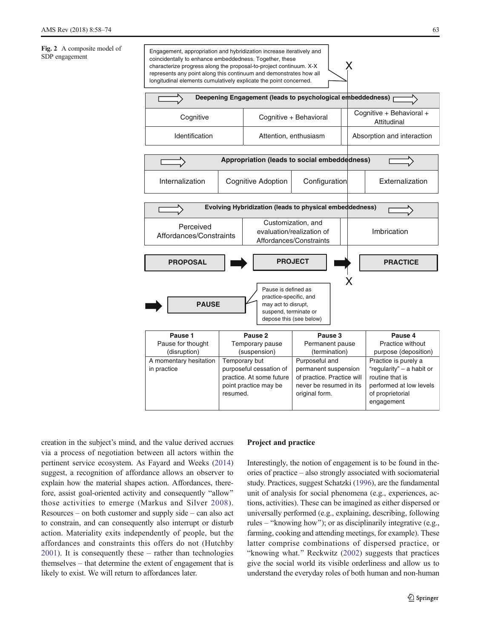<span id="page-5-0"></span>

creation in the subject's mind, and the value derived accrues via a process of negotiation between all actors within the pertinent service ecosystem. As Fayard and Weeks ([2014\)](#page-14-0) suggest, a recognition of affordance allows an observer to explain how the material shapes action. Affordances, therefore, assist goal-oriented activity and consequently "allow" those activities to emerge (Markus and Silver [2008](#page-15-0)). Resources – on both customer and supply side – can also act to constrain, and can consequently also interrupt or disturb action. Materiality exits independently of people, but the affordances and constraints this offers do not (Hutchby [2001](#page-15-0)). It is consequently these – rather than technologies themselves – that determine the extent of engagement that is likely to exist. We will return to affordances later.

#### Project and practice

Interestingly, the notion of engagement is to be found in theories of practice – also strongly associated with sociomaterial study. Practices, suggest Schatzki ([1996](#page-16-0)), are the fundamental unit of analysis for social phenomena (e.g., experiences, actions, activities). These can be imagined as either dispersed or universally performed (e.g., explaining, describing, following rules – "knowing how"); or as disciplinarily integrative (e.g., farming, cooking and attending meetings, for example). These latter comprise combinations of dispersed practice, or "knowing what." Reckwitz [\(2002](#page-15-0)) suggests that practices give the social world its visible orderliness and allow us to understand the everyday roles of both human and non-human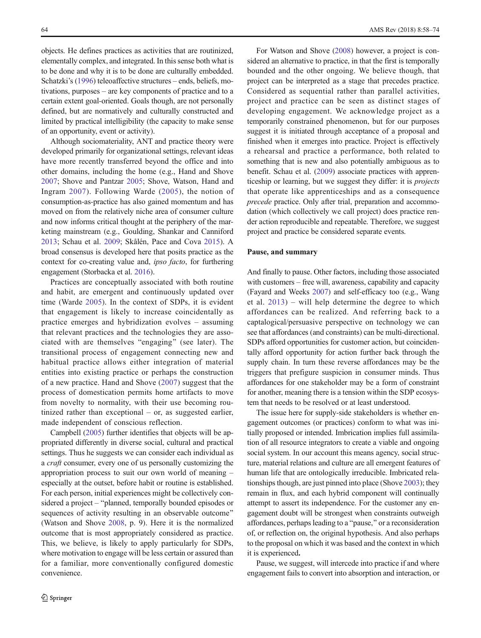objects. He defines practices as activities that are routinized, elementally complex, and integrated. In this sense both what is to be done and why it is to be done are culturally embedded. Schatzki's ([1996](#page-16-0)) teleoaffective structures – ends, beliefs, motivations, purposes – are key components of practice and to a certain extent goal-oriented. Goals though, are not personally defined, but are normatively and culturally constructed and limited by practical intelligibility (the capacity to make sense of an opportunity, event or activity).

Although sociomateriality, ANT and practice theory were developed primarily for organizational settings, relevant ideas have more recently transferred beyond the office and into other domains, including the home (e.g., Hand and Shove [2007;](#page-14-0) Shove and Pantzar [2005;](#page-16-0) Shove, Watson, Hand and Ingram [2007\)](#page-16-0). Following Warde ([2005](#page-16-0)), the notion of consumption-as-practice has also gained momentum and has moved on from the relatively niche area of consumer culture and now informs critical thought at the periphery of the marketing mainstream (e.g., Goulding, Shankar and Canniford [2013;](#page-14-0) Schau et al. [2009;](#page-16-0) Skålén, Pace and Cova [2015\)](#page-16-0). A broad consensus is developed here that posits practice as the context for co-creating value and, ipso facto, for furthering engagement (Storbacka et al. [2016](#page-16-0)).

Practices are conceptually associated with both routine and habit, are emergent and continuously updated over time (Warde [2005](#page-16-0)). In the context of SDPs, it is evident that engagement is likely to increase coincidentally as practice emerges and hybridization evolves – assuming that relevant practices and the technologies they are associated with are themselves "engaging" (see later). The transitional process of engagement connecting new and habitual practice allows either integration of material entities into existing practice or perhaps the construction of a new practice. Hand and Shove [\(2007\)](#page-14-0) suggest that the process of domestication permits home artifacts to move from novelty to normality, with their use becoming routinized rather than exceptional – or, as suggested earlier, made independent of conscious reflection.

Campbell [\(2005\)](#page-14-0) further identifies that objects will be appropriated differently in diverse social, cultural and practical settings. Thus he suggests we can consider each individual as a *craft* consumer, every one of us personally customizing the appropriation process to suit our own world of meaning – especially at the outset, before habit or routine is established. For each person, initial experiences might be collectively considered a project – "planned, temporally bounded episodes or sequences of activity resulting in an observable outcome" (Watson and Shove [2008](#page-16-0), p. 9). Here it is the normalized outcome that is most appropriately considered as practice. This, we believe, is likely to apply particularly for SDPs, where motivation to engage will be less certain or assured than for a familiar, more conventionally configured domestic convenience.

For Watson and Shove ([2008](#page-16-0)) however, a project is considered an alternative to practice, in that the first is temporally bounded and the other ongoing. We believe though, that project can be interpreted as a stage that precedes practice. Considered as sequential rather than parallel activities, project and practice can be seen as distinct stages of developing engagement. We acknowledge project as a temporarily constrained phenomenon, but for our purposes suggest it is initiated through acceptance of a proposal and finished when it emerges into practice. Project is effectively a rehearsal and practice a performance, both related to something that is new and also potentially ambiguous as to benefit. Schau et al. [\(2009\)](#page-16-0) associate practices with apprenticeship or learning, but we suggest they differ: it is projects that operate like apprenticeships and as a consequence precede practice. Only after trial, preparation and accommodation (which collectively we call project) does practice render action reproducible and repeatable. Therefore, we suggest project and practice be considered separate events.

#### Pause, and summary

And finally to pause. Other factors, including those associated with customers – free will, awareness, capability and capacity (Fayard and Weeks [2007](#page-14-0)) and self-efficacy too (e.g., Wang et al. [2013](#page-16-0)) – will help determine the degree to which affordances can be realized. And referring back to a captalogical/persuasive perspective on technology we can see that affordances (and constraints) can be multi-directional. SDPs afford opportunities for customer action, but coincidentally afford opportunity for action further back through the supply chain. In turn these reverse affordances may be the triggers that prefigure suspicion in consumer minds. Thus affordances for one stakeholder may be a form of constraint for another, meaning there is a tension within the SDP ecosystem that needs to be resolved or at least understood.

The issue here for supply-side stakeholders is whether engagement outcomes (or practices) conform to what was initially proposed or intended. Imbrication implies full assimilation of all resource integrators to create a viable and ongoing social system. In our account this means agency, social structure, material relations and culture are all emergent features of human life that are ontologically irreducible. Imbricated relationships though, are just pinned into place (Shove [2003\)](#page-16-0); they remain in flux, and each hybrid component will continually attempt to assert its independence. For the customer any engagement doubt will be strongest when constraints outweigh affordances, perhaps leading to a "pause," or a reconsideration of, or reflection on, the original hypothesis. And also perhaps to the proposal on which it was based and the context in which it is experienced.

Pause, we suggest, will intercede into practice if and where engagement fails to convert into absorption and interaction, or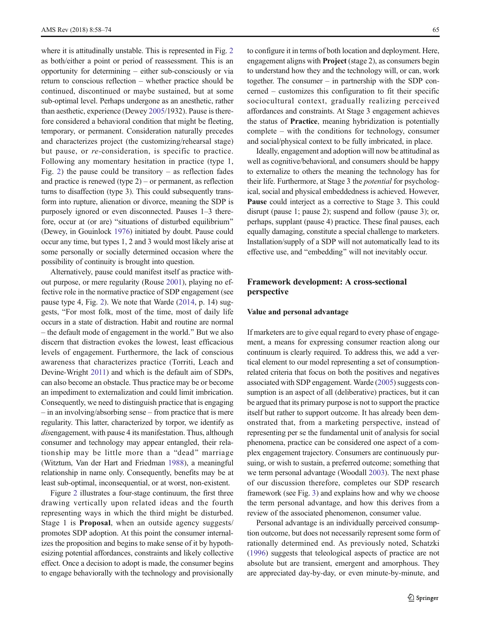where it is attitudinally unstable. This is represented in Fig. [2](#page-5-0) as both/either a point or period of reassessment. This is an opportunity for determining – either sub-consciously or via return to conscious reflection – whether practice should be continued, discontinued or maybe sustained, but at some sub-optimal level. Perhaps undergone as an anesthetic, rather than aesthetic, experience (Dewey [2005/](#page-14-0)1932). Pause is therefore considered a behavioral condition that might be fleeting, temporary, or permanent. Consideration naturally precedes and characterizes project (the customizing/rehearsal stage) but pause, or re-consideration, is specific to practice. Following any momentary hesitation in practice (type 1, Fig. [2\)](#page-5-0) the pause could be transitory – as reflection fades and practice is renewed (type  $2$ ) – or permanent, as reflection turns to disaffection (type 3). This could subsequently transform into rupture, alienation or divorce, meaning the SDP is purposely ignored or even disconnected. Pauses 1–3 therefore, occur at (or are) "situations of disturbed equilibrium" (Dewey, in Gouinlock [1976\)](#page-14-0) initiated by doubt. Pause could occur any time, but types 1, 2 and 3 would most likely arise at some personally or socially determined occasion where the possibility of continuity is brought into question.

Alternatively, pause could manifest itself as practice without purpose, or mere regularity (Rouse [2001](#page-16-0)), playing no effective role in the normative practice of SDP engagement (see pause type 4, Fig. [2](#page-5-0)). We note that Warde [\(2014,](#page-16-0) p. 14) suggests, "For most folk, most of the time, most of daily life occurs in a state of distraction. Habit and routine are normal – the default mode of engagement in the world.^ But we also discern that distraction evokes the lowest, least efficacious levels of engagement. Furthermore, the lack of conscious awareness that characterizes practice (Torriti, Leach and Devine-Wright [2011\)](#page-16-0) and which is the default aim of SDPs, can also become an obstacle. Thus practice may be or become an impediment to externalization and could limit imbrication. Consequently, we need to distinguish practice that is engaging – in an involving/absorbing sense – from practice that is mere regularity. This latter, characterized by torpor, we identify as disengagement, with pause 4 its manifestation. Thus, although consumer and technology may appear entangled, their relationship may be little more than a "dead" marriage (Witztum, Van der Hart and Friedman [1988\)](#page-16-0), a meaningful relationship in name only. Consequently, benefits may be at least sub-optimal, inconsequential, or at worst, non-existent.

Figure [2](#page-5-0) illustrates a four-stage continuum, the first three drawing vertically upon related ideas and the fourth representing ways in which the third might be disturbed. Stage 1 is Proposal, when an outside agency suggests/ promotes SDP adoption. At this point the consumer internalizes the proposition and begins to make sense of it by hypothesizing potential affordances, constraints and likely collective effect. Once a decision to adopt is made, the consumer begins to engage behaviorally with the technology and provisionally to configure it in terms of both location and deployment. Here, engagement aligns with Project (stage 2), as consumers begin to understand how they and the technology will, or can, work together. The consumer – in partnership with the SDP concerned – customizes this configuration to fit their specific sociocultural context, gradually realizing perceived affordances and constraints. At Stage 3 engagement achieves the status of Practice, meaning hybridization is potentially complete – with the conditions for technology, consumer and social/physical context to be fully imbricated, in place.

Ideally, engagement and adoption will now be attitudinal as well as cognitive/behavioral, and consumers should be happy to externalize to others the meaning the technology has for their life. Furthermore, at Stage 3 the potential for psychological, social and physical embeddedness is achieved. However, Pause could interject as a corrective to Stage 3. This could disrupt (pause 1; pause 2); suspend and follow (pause 3); or, perhaps, supplant (pause 4) practice. These final pauses, each equally damaging, constitute a special challenge to marketers. Installation/supply of a SDP will not automatically lead to its effective use, and "embedding" will not inevitably occur.

## Framework development: A cross-sectional perspective

#### Value and personal advantage

If marketers are to give equal regard to every phase of engagement, a means for expressing consumer reaction along our continuum is clearly required. To address this, we add a vertical element to our model representing a set of consumptionrelated criteria that focus on both the positives and negatives associated with SDP engagement. Warde ([2005](#page-16-0)) suggests consumption is an aspect of all (deliberative) practices, but it can be argued that its primary purpose is not to support the practice itself but rather to support outcome. It has already been demonstrated that, from a marketing perspective, instead of representing per se the fundamental unit of analysis for social phenomena, practice can be considered one aspect of a complex engagement trajectory. Consumers are continuously pursuing, or wish to sustain, a preferred outcome; something that we term personal advantage (Woodall [2003](#page-16-0)). The next phase of our discussion therefore, completes our SDP research framework (see Fig. [3\)](#page-8-0) and explains how and why we choose the term personal advantage, and how this derives from a review of the associated phenomenon, consumer value.

Personal advantage is an individually perceived consumption outcome, but does not necessarily represent some form of rationally determined end. As previously noted, Schatzki [\(1996\)](#page-16-0) suggests that teleological aspects of practice are not absolute but are transient, emergent and amorphous. They are appreciated day-by-day, or even minute-by-minute, and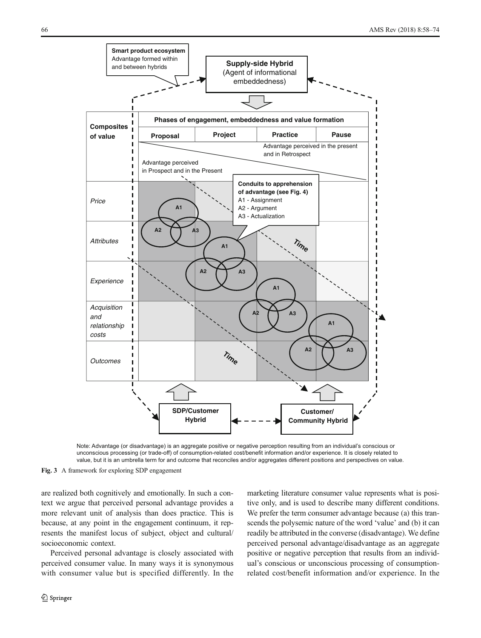<span id="page-8-0"></span>

Note: Advantage (or disadvantage) is an aggregate positive or negative perception resulting from an individual's conscious or unconscious processing (or trade-off) of consumption-related cost/benefit information and/or experience. It is closely related to value, but it is an umbrella term for and outcome that reconciles and/or aggregates different positions and perspectives on value.

Fig. 3 A framework for exploring SDP engagement

are realized both cognitively and emotionally. In such a context we argue that perceived personal advantage provides a more relevant unit of analysis than does practice. This is because, at any point in the engagement continuum, it represents the manifest locus of subject, object and cultural/ socioeconomic context.

Perceived personal advantage is closely associated with perceived consumer value. In many ways it is synonymous with consumer value but is specified differently. In the

perceived personal advantage/disadvantage as an aggregate positive or negative perception that results from an individual's conscious or unconscious processing of consumptionrelated cost/benefit information and/or experience. In the

marketing literature consumer value represents what is positive only, and is used to describe many different conditions. We prefer the term consumer advantage because (a) this transcends the polysemic nature of the word 'value' and (b) it can readily be attributed in the converse (disadvantage). We define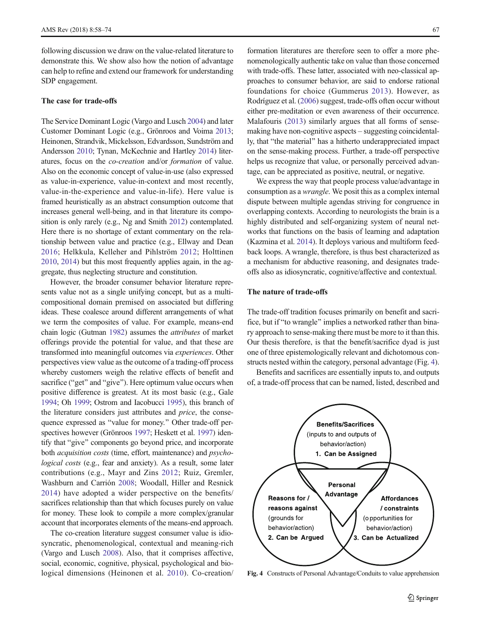following discussion we draw on the value-related literature to demonstrate this. We show also how the notion of advantage can help to refine and extend our framework for understanding SDP engagement.

#### The case for trade-offs

The Service Dominant Logic (Vargo and Lusch [2004](#page-16-0)) and later Customer Dominant Logic (e.g., Grönroos and Voima [2013](#page-14-0); Heinonen, Strandvik, Mickelsson, Edvardsson, Sundström and Andersson [2010](#page-14-0); Tynan, McKechnie and Hartley [2014\)](#page-16-0) literatures, focus on the co-creation and/or formation of value. Also on the economic concept of value-in-use (also expressed as value-in-experience, value-in-context and most recently, value-in-the-experience and value-in-life). Here value is framed heuristically as an abstract consumption outcome that increases general well-being, and in that literature its composition is only rarely (e.g., Ng and Smith [2012](#page-15-0)) contemplated. Here there is no shortage of extant commentary on the relationship between value and practice (e.g., Ellway and Dean [2016;](#page-14-0) Helkkula, Kelleher and Pihlström [2012;](#page-14-0) Holttinen [2010](#page-15-0), [2014\)](#page-15-0) but this most frequently applies again, in the aggregate, thus neglecting structure and constitution.

However, the broader consumer behavior literature represents value not as a single unifying concept, but as a multicompositional domain premised on associated but differing ideas. These coalesce around different arrangements of what we term the composites of value. For example, means-end chain logic (Gutman [1982](#page-14-0)) assumes the attributes of market offerings provide the potential for value, and that these are transformed into meaningful outcomes via experiences. Other perspectives view value as the outcome of a trading-off process whereby customers weigh the relative effects of benefit and sacrifice ("get" and "give"). Here optimum value occurs when positive difference is greatest. At its most basic (e.g., Gale [1994](#page-14-0); Oh [1999;](#page-15-0) Ostrom and Iacobucci [1995\)](#page-15-0), this branch of the literature considers just attributes and price, the consequence expressed as "value for money." Other trade-off perspectives however (Grönroos [1997;](#page-14-0) Heskett et al. [1997\)](#page-14-0) identify that "give" components go beyond price, and incorporate both acquisition costs (time, effort, maintenance) and psychological costs (e.g., fear and anxiety). As a result, some later contributions (e.g., Mayr and Zins [2012;](#page-15-0) Ruiz, Gremler, Washburn and Carrión [2008;](#page-16-0) Woodall, Hiller and Resnick [2014](#page-16-0)) have adopted a wider perspective on the benefits/ sacrifices relationship than that which focuses purely on value for money. These look to compile a more complex/granular account that incorporates elements of the means-end approach.

The co-creation literature suggest consumer value is idiosyncratic, phenomenological, contextual and meaning-rich (Vargo and Lusch [2008](#page-16-0)). Also, that it comprises affective, social, economic, cognitive, physical, psychological and biological dimensions (Heinonen et al. [2010\)](#page-14-0). Co-creation/

formation literatures are therefore seen to offer a more phenomenologically authentic take on value than those concerned with trade-offs. These latter, associated with neo-classical approaches to consumer behavior, are said to endorse rational foundations for choice (Gummerus [2013](#page-14-0)). However, as Rodríguez et al. ([2006\)](#page-16-0) suggest, trade-offs often occur without either pre-meditation or even awareness of their occurrence. Malafouris ([2013\)](#page-15-0) similarly argues that all forms of sensemaking have non-cognitive aspects – suggesting coincidentally, that "the material" has a hitherto underappreciated impact on the sense-making process. Further, a trade-off perspective helps us recognize that value, or personally perceived advantage, can be appreciated as positive, neutral, or negative.

We express the way that people process value/advantage in consumption as a wrangle. We posit this as a complex internal dispute between multiple agendas striving for congruence in overlapping contexts. According to neurologists the brain is a highly distributed and self-organizing system of neural networks that functions on the basis of learning and adaptation (Kazmina et al. [2014](#page-15-0)). It deploys various and multiform feedback loops. A wrangle, therefore, is thus best characterized as a mechanism for abductive reasoning, and designates tradeoffs also as idiosyncratic, cognitive/affective and contextual.

#### The nature of trade-offs

The trade-off tradition focuses primarily on benefit and sacrifice, but if "to wrangle" implies a networked rather than binary approach to sense-making there must be more to it than this. Our thesis therefore, is that the benefit/sacrifice dyad is just one of three epistemologically relevant and dichotomous constructs nested within the category, personal advantage (Fig. 4).

Benefits and sacrifices are essentially inputs to, and outputs of, a trade-off process that can be named, listed, described and



Fig. 4 Constructs of Personal Advantage/Conduits to value apprehension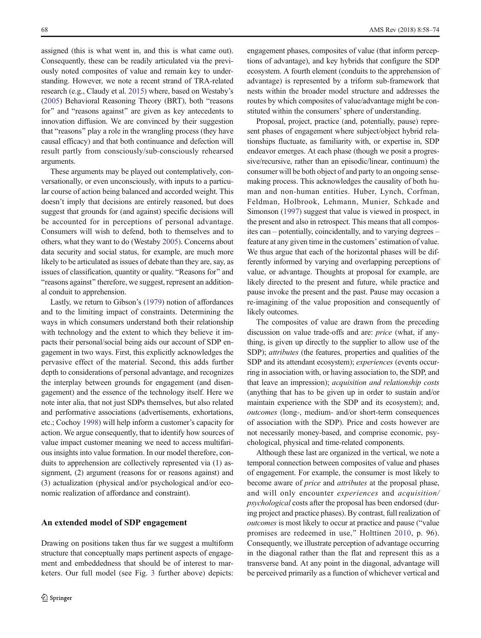assigned (this is what went in, and this is what came out). Consequently, these can be readily articulated via the previously noted composites of value and remain key to understanding. However, we note a recent strand of TRA-related research (e.g., Claudy et al. [2015\)](#page-14-0) where, based on Westaby's [\(2005\)](#page-16-0) Behavioral Reasoning Theory (BRT), both "reasons for" and "reasons against" are given as key antecedents to innovation diffusion. We are convinced by their suggestion that "reasons" play a role in the wrangling process (they have causal efficacy) and that both continuance and defection will result partly from consciously/sub-consciously rehearsed arguments.

These arguments may be played out contemplatively, conversationally, or even unconsciously, with inputs to a particular course of action being balanced and accorded weight. This doesn't imply that decisions are entirely reasoned, but does suggest that grounds for (and against) specific decisions will be accounted for in perceptions of personal advantage. Consumers will wish to defend, both to themselves and to others, what they want to do (Westaby [2005\)](#page-16-0). Concerns about data security and social status, for example, are much more likely to be articulated as issues of debate than they are, say, as issues of classification, quantity or quality. "Reasons for" and "reasons against" therefore, we suggest, represent an additional conduit to apprehension.

Lastly, we return to Gibson's ([1979](#page-14-0)) notion of affordances and to the limiting impact of constraints. Determining the ways in which consumers understand both their relationship with technology and the extent to which they believe it impacts their personal/social being aids our account of SDP engagement in two ways. First, this explicitly acknowledges the pervasive effect of the material. Second, this adds further depth to considerations of personal advantage, and recognizes the interplay between grounds for engagement (and disengagement) and the essence of the technology itself. Here we note inter alia, that not just SDPs themselves, but also related and performative associations (advertisements, exhortations, etc.; Cochoy [1998\)](#page-14-0) will help inform a customer's capacity for action. We argue consequently, that to identify how sources of value impact customer meaning we need to access multifarious insights into value formation. In our model therefore, conduits to apprehension are collectively represented via (1) assignment, (2) argument (reasons for or reasons against) and (3) actualization (physical and/or psychological and/or economic realization of affordance and constraint).

#### An extended model of SDP engagement

Drawing on positions taken thus far we suggest a multiform structure that conceptually maps pertinent aspects of engagement and embeddedness that should be of interest to marketers. Our full model (see Fig. [3](#page-8-0) further above) depicts: engagement phases, composites of value (that inform perceptions of advantage), and key hybrids that configure the SDP ecosystem. A fourth element (conduits to the apprehension of advantage) is represented by a triform sub-framework that nests within the broader model structure and addresses the routes by which composites of value/advantage might be constituted within the consumers' sphere of understanding.

Proposal, project, practice (and, potentially, pause) represent phases of engagement where subject/object hybrid relationships fluctuate, as familiarity with, or expertise in, SDP endeavor emerges. At each phase (though we posit a progressive/recursive, rather than an episodic/linear, continuum) the consumer will be both object of and party to an ongoing sensemaking process. This acknowledges the causality of both human and non-human entities. Huber, Lynch, Corfman, Feldman, Holbrook, Lehmann, Munier, Schkade and Simonson [\(1997](#page-15-0)) suggest that value is viewed in prospect, in the present and also in retrospect. This means that all composites can – potentially, coincidentally, and to varying degrees – feature at any given time in the customers' estimation of value. We thus argue that each of the horizontal phases will be differently informed by varying and overlapping perceptions of value, or advantage. Thoughts at proposal for example, are likely directed to the present and future, while practice and pause invoke the present and the past. Pause may occasion a re-imagining of the value proposition and consequently of likely outcomes.

The composites of value are drawn from the preceding discussion on value trade-offs and are: price (what, if anything, is given up directly to the supplier to allow use of the SDP); attributes (the features, properties and qualities of the SDP and its attendant ecosystem); experiences (events occurring in association with, or having association to, the SDP, and that leave an impression); acquisition and relationship costs (anything that has to be given up in order to sustain and/or maintain experience with the SDP and its ecosystem); and, outcomes (long-, medium- and/or short-term consequences of association with the SDP). Price and costs however are not necessarily money-based, and comprise economic, psychological, physical and time-related components.

Although these last are organized in the vertical, we note a temporal connection between composites of value and phases of engagement. For example, the consumer is most likely to become aware of price and attributes at the proposal phase, and will only encounter experiences and acquisition/ psychological costs after the proposal has been endorsed (during project and practice phases). By contrast, full realization of outcomes is most likely to occur at practice and pause ("value" promises are redeemed in use,^ Holttinen [2010](#page-15-0), p. 96). Consequently, we illustrate perception of advantage occurring in the diagonal rather than the flat and represent this as a transverse band. At any point in the diagonal, advantage will be perceived primarily as a function of whichever vertical and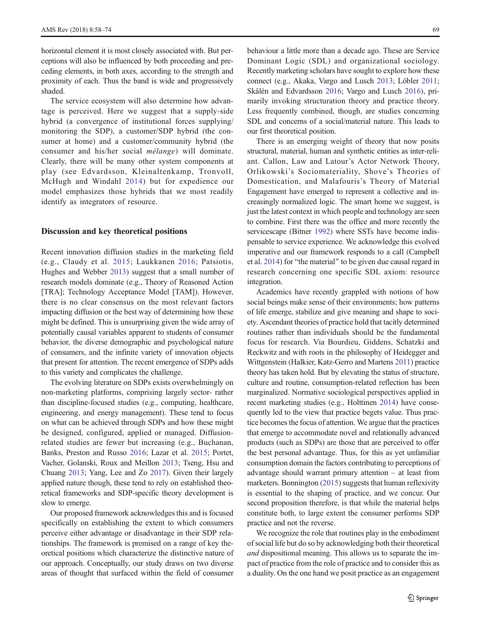horizontal element it is most closely associated with. But perceptions will also be influenced by both proceeding and preceding elements, in both axes, according to the strength and proximity of each. Thus the band is wide and progressively shaded.

The service ecosystem will also determine how advantage is perceived. Here we suggest that a supply-side hybrid (a convergence of institutional forces supplying/ monitoring the SDP), a customer/SDP hybrid (the consumer at home) and a customer/community hybrid (the consumer and his/her social mélange) will dominate. Clearly, there will be many other system components at play (see Edvardsson, Kleinaltenkamp, Tronvoll, McHugh and Windahl [2014\)](#page-14-0) but for expedience our model emphasizes those hybrids that we most readily identify as integrators of resource.

#### Discussion and key theoretical positions

Recent innovation diffusion studies in the marketing field (e.g., Claudy et al. [2015;](#page-14-0) Laukkanen [2016](#page-15-0); Patsiotis, Hughes and Webber [2013](#page-15-0)) suggest that a small number of research models dominate (e.g., Theory of Reasoned Action [TRA]; Technology Acceptance Model [TAM]). However, there is no clear consensus on the most relevant factors impacting diffusion or the best way of determining how these might be defined. This is unsurprising given the wide array of potentially causal variables apparent to students of consumer behavior, the diverse demographic and psychological nature of consumers, and the infinite variety of innovation objects that present for attention. The recent emergence of SDPs adds to this variety and complicates the challenge.

The evolving literature on SDPs exists overwhelmingly on non-marketing platforms, comprising largely sector- rather than discipline-focused studies (e.g., computing, healthcare, engineering, and energy management). These tend to focus on what can be achieved through SDPs and how these might be designed, configured, applied or managed. Diffusionrelated studies are fewer but increasing (e.g., Buchanan, Banks, Preston and Russo [2016;](#page-14-0) Lazar et al. [2015;](#page-15-0) Portet, Vacher, Golanski, Roux and Meillon [2013;](#page-15-0) Tseng, Hsu and Chuang [2013](#page-16-0); Yang, Lee and Zo [2017\)](#page-16-0). Given their largely applied nature though, these tend to rely on established theoretical frameworks and SDP-specific theory development is slow to emerge.

Our proposed framework acknowledges this and is focused specifically on establishing the extent to which consumers perceive either advantage or disadvantage in their SDP relationships. The framework is premised on a range of key theoretical positions which characterize the distinctive nature of our approach. Conceptually, our study draws on two diverse areas of thought that surfaced within the field of consumer

behaviour a little more than a decade ago. These are Service Dominant Logic (SDL) and organizational sociology. Recently marketing scholars have sought to explore how these connect (e.g., Akaka, Vargo and Lusch [2013](#page-14-0); Löbler [2011;](#page-15-0) Skålén and Edvardsson [2016;](#page-16-0) Vargo and Lusch [2016](#page-16-0)), primarily invoking structuration theory and practice theory. Less frequently combined, though, are studies concerning SDL and concerns of a social/material nature. This leads to our first theoretical position.

There is an emerging weight of theory that now posits structural, material, human and synthetic entities as inter-reliant. Callon, Law and Latour's Actor Network Theory, Orlikowski's Sociomateriality, Shove's Theories of Domestication, and Malafouris's Theory of Material Engagement have emerged to represent a collective and increasingly normalized logic. The smart home we suggest, is just the latest context in which people and technology are seen to combine. First there was the office and more recently the servicescape (Bitner [1992\)](#page-14-0) where SSTs have become indispensable to service experience. We acknowledge this evolved imperative and our framework responds to a call (Campbell et al.  $2014$ ) for "the material" to be given due causal regard in research concerning one specific SDL axiom: resource integration.

Academics have recently grappled with notions of how social beings make sense of their environments; how patterns of life emerge, stabilize and give meaning and shape to society. Ascendant theories of practice hold that tacitly determined routines rather than individuals should be the fundamental focus for research. Via Bourdieu, Giddens, Schatzki and Reckwitz and with roots in the philosophy of Heidegger and Wittgenstein (Halkier, Katz-Gerro and Martens [2011\)](#page-14-0) practice theory has taken hold. But by elevating the status of structure, culture and routine, consumption-related reflection has been marginalized. Normative sociological perspectives applied in recent marketing studies (e.g., Holttinen [2014](#page-15-0)) have consequently led to the view that practice begets value. Thus practice becomes the focus of attention. We argue that the practices that emerge to accommodate novel and relationally advanced products (such as SDPs) are those that are perceived to offer the best personal advantage. Thus, for this as yet unfamiliar consumption domain the factors contributing to perceptions of advantage should warrant primary attention – at least from marketers. Bonnington ([2015](#page-14-0)) suggests that human reflexivity is essential to the shaping of practice, and we concur. Our second proposition therefore, is that while the material helps constitute both, to large extent the consumer performs SDP practice and not the reverse.

We recognize the role that routines play in the embodiment of social life but do so by acknowledging both their theoretical and dispositional meaning. This allows us to separate the impact of practice from the role of practice and to consider this as a duality. On the one hand we posit practice as an engagement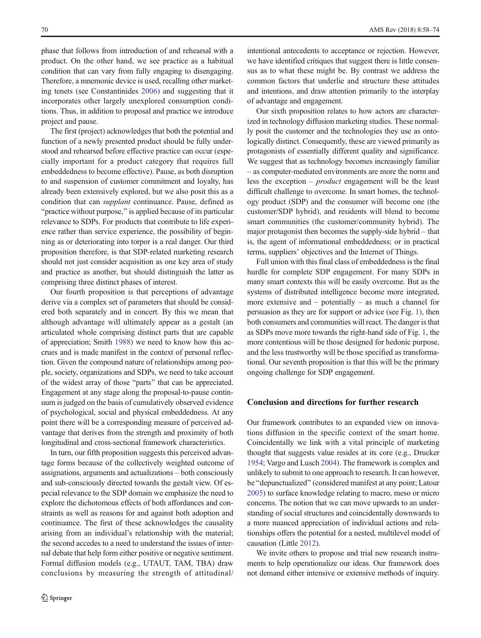phase that follows from introduction of and rehearsal with a product. On the other hand, we see practice as a habitual condition that can vary from fully engaging to disengaging. Therefore, a mnemonic device is used, recalling other marketing tenets (see Constantinides [2006\)](#page-14-0) and suggesting that it incorporates other largely unexplored consumption conditions. Thus, in addition to proposal and practice we introduce project and pause.

The first (project) acknowledges that both the potential and function of a newly presented product should be fully understood and rehearsed before effective practice can occur (especially important for a product category that requires full embeddedness to become effective). Pause, as both disruption to and suspension of customer commitment and loyalty, has already been extensively explored, but we also posit this as a condition that can supplant continuance. Pause, defined as "practice without purpose," is applied because of its particular relevance to SDPs. For products that contribute to life experience rather than service experience, the possibility of beginning as or deteriorating into torpor is a real danger. Our third proposition therefore, is that SDP-related marketing research should not just consider acquisition as one key area of study and practice as another, but should distinguish the latter as comprising three distinct phases of interest.

Our fourth proposition is that perceptions of advantage derive via a complex set of parameters that should be considered both separately and in concert. By this we mean that although advantage will ultimately appear as a gestalt (an articulated whole comprising distinct parts that are capable of appreciation; Smith [1988\)](#page-16-0) we need to know how this accrues and is made manifest in the context of personal reflection. Given the compound nature of relationships among people, society, organizations and SDPs, we need to take account of the widest array of those "parts" that can be appreciated. Engagement at any stage along the proposal-to-pause continuum is judged on the basis of cumulatively observed evidence of psychological, social and physical embeddedness. At any point there will be a corresponding measure of perceived advantage that derives from the strength and proximity of both longitudinal and cross-sectional framework characteristics.

In turn, our fifth proposition suggests this perceived advantage forms because of the collectively weighted outcome of assignations, arguments and actualizations – both consciously and sub-consciously directed towards the gestalt view. Of especial relevance to the SDP domain we emphasize the need to explore the dichotomous effects of both affordances and constraints as well as reasons for and against both adoption and continuance. The first of these acknowledges the causality arising from an individual's relationship with the material; the second accedes to a need to understand the issues of internal debate that help form either positive or negative sentiment. Formal diffusion models (e.g., UTAUT, TAM, TBA) draw conclusions by measuring the strength of attitudinal/

intentional antecedents to acceptance or rejection. However, we have identified critiques that suggest there is little consensus as to what these might be. By contrast we address the common factors that underlie and structure these attitudes and intentions, and draw attention primarily to the interplay of advantage and engagement.

Our sixth proposition relates to how actors are characterized in technology diffusion marketing studies. These normally posit the customer and the technologies they use as ontologically distinct. Consequently, these are viewed primarily as protagonists of essentially different quality and significance. We suggest that as technology becomes increasingly familiar – as computer-mediated environments are more the norm and less the exception – product engagement will be the least difficult challenge to overcome. In smart homes, the technology product (SDP) and the consumer will become one (the customer/SDP hybrid), and residents will blend to become smart communities (the customer/community hybrid). The major protagonist then becomes the supply-side hybrid – that is, the agent of informational embeddedness; or in practical terms, suppliers' objectives and the Internet of Things.

Full union with this final class of embeddedness is the final hurdle for complete SDP engagement. For many SDPs in many smart contexts this will be easily overcome. But as the systems of distributed intelligence become more integrated, more extensive and – potentially – as much a channel for persuasion as they are for support or advice (see Fig. [1](#page-2-0)), then both consumers and communities will react. The danger is that as SDPs move more towards the right-hand side of Fig. [1,](#page-2-0) the more contentious will be those designed for hedonic purpose, and the less trustworthy will be those specified as transformational. Our seventh proposition is that this will be the primary ongoing challenge for SDP engagement.

## Conclusion and directions for further research

Our framework contributes to an expanded view on innovations diffusion in the specific context of the smart home. Coincidentally we link with a vital principle of marketing thought that suggests value resides at its core (e.g., Drucker [1954;](#page-14-0) Vargo and Lusch [2004](#page-16-0)). The framework is complex and unlikely to submit to one approach to research. It can however, be "depunctualized" (considered manifest at any point; Latour [2005\)](#page-15-0) to surface knowledge relating to macro, meso or micro concerns. The notion that we can move upwards to an understanding of social structures and coincidentally downwards to a more nuanced appreciation of individual actions and relationships offers the potential for a nested, multilevel model of causation (Little [2012](#page-15-0)).

We invite others to propose and trial new research instruments to help operationalize our ideas. Our framework does not demand either intensive or extensive methods of inquiry.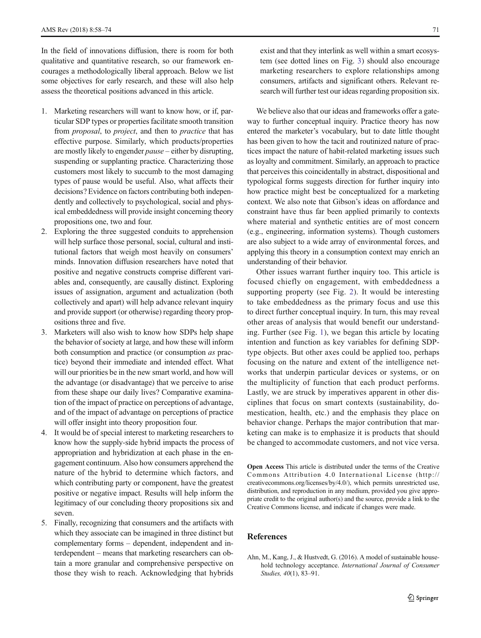<span id="page-13-0"></span>In the field of innovations diffusion, there is room for both qualitative and quantitative research, so our framework encourages a methodologically liberal approach. Below we list some objectives for early research, and these will also help assess the theoretical positions advanced in this article.

- 1. Marketing researchers will want to know how, or if, particular SDP types or properties facilitate smooth transition from *proposal*, to *project*, and then to *practice* that has effective purpose. Similarly, which products/properties are mostly likely to engender pause – either by disrupting, suspending or supplanting practice. Characterizing those customers most likely to succumb to the most damaging types of pause would be useful. Also, what affects their decisions? Evidence on factors contributing both independently and collectively to psychological, social and physical embeddedness will provide insight concerning theory propositions one, two and four.
- 2. Exploring the three suggested conduits to apprehension will help surface those personal, social, cultural and institutional factors that weigh most heavily on consumers' minds. Innovation diffusion researchers have noted that positive and negative constructs comprise different variables and, consequently, are causally distinct. Exploring issues of assignation, argument and actualization (both collectively and apart) will help advance relevant inquiry and provide support (or otherwise) regarding theory propositions three and five.
- 3. Marketers will also wish to know how SDPs help shape the behavior of society at large, and how these will inform both consumption and practice (or consumption as practice) beyond their immediate and intended effect. What will our priorities be in the new smart world, and how will the advantage (or disadvantage) that we perceive to arise from these shape our daily lives? Comparative examination of the impact of practice on perceptions of advantage, and of the impact of advantage on perceptions of practice will offer insight into theory proposition four.
- 4. It would be of special interest to marketing researchers to know how the supply-side hybrid impacts the process of appropriation and hybridization at each phase in the engagement continuum. Also how consumers apprehend the nature of the hybrid to determine which factors, and which contributing party or component, have the greatest positive or negative impact. Results will help inform the legitimacy of our concluding theory propositions six and seven.
- 5. Finally, recognizing that consumers and the artifacts with which they associate can be imagined in three distinct but complementary forms – dependent, independent and interdependent – means that marketing researchers can obtain a more granular and comprehensive perspective on those they wish to reach. Acknowledging that hybrids

exist and that they interlink as well within a smart ecosystem (see dotted lines on Fig. [3\)](#page-8-0) should also encourage marketing researchers to explore relationships among consumers, artifacts and significant others. Relevant research will further test our ideas regarding proposition six.

We believe also that our ideas and frameworks offer a gateway to further conceptual inquiry. Practice theory has now entered the marketer's vocabulary, but to date little thought has been given to how the tacit and routinized nature of practices impact the nature of habit-related marketing issues such as loyalty and commitment. Similarly, an approach to practice that perceives this coincidentally in abstract, dispositional and typological forms suggests direction for further inquiry into how practice might best be conceptualized for a marketing context. We also note that Gibson's ideas on affordance and constraint have thus far been applied primarily to contexts where material and synthetic entities are of most concern (e.g., engineering, information systems). Though customers are also subject to a wide array of environmental forces, and applying this theory in a consumption context may enrich an understanding of their behavior.

Other issues warrant further inquiry too. This article is focused chiefly on engagement, with embeddedness a supporting property (see Fig. [2](#page-5-0)). It would be interesting to take embeddedness as the primary focus and use this to direct further conceptual inquiry. In turn, this may reveal other areas of analysis that would benefit our understanding. Further (see Fig. [1](#page-2-0)), we began this article by locating intention and function as key variables for defining SDPtype objects. But other axes could be applied too, perhaps focusing on the nature and extent of the intelligence networks that underpin particular devices or systems, or on the multiplicity of function that each product performs. Lastly, we are struck by imperatives apparent in other disciplines that focus on smart contexts (sustainability, domestication, health, etc.) and the emphasis they place on behavior change. Perhaps the major contribution that marketing can make is to emphasize it is products that should be changed to accommodate customers, and not vice versa.

Open Access This article is distributed under the terms of the Creative Commons Attribution 4.0 International License (http:// creativecommons.org/licenses/by/4.0/), which permits unrestricted use, distribution, and reproduction in any medium, provided you give appropriate credit to the original author(s) and the source, provide a link to the Creative Commons license, and indicate if changes were made.

## **References**

Ahn, M., Kang, J., & Hustvedt, G. (2016). A model of sustainable household technology acceptance. International Journal of Consumer Studies, 40(1), 83–91.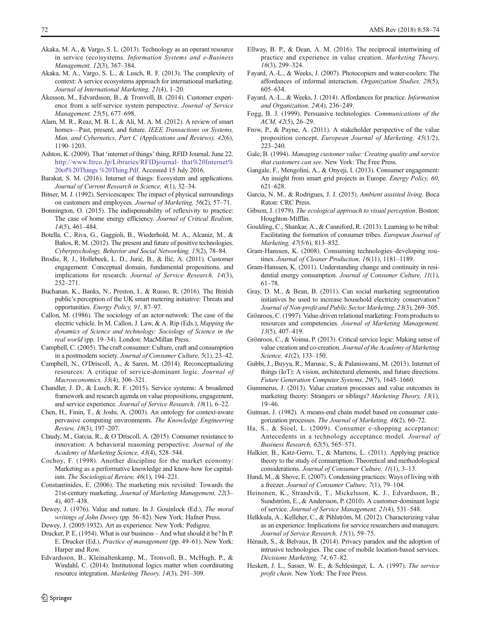- <span id="page-14-0"></span>Akaka, M. A., & Vargo, S. L. (2013). Technology as an operant resource in service (eco)systems. Information Systems and e-Business Management, 12(3), 367–384.
- Akaka, M. A., Vargo, S. L., & Lusch, R. F. (2013). The complexity of context: A service ecosystems approach for international marketing. Journal of International Marketing, 21(4), 1–20.
- Åkesson, M., Edvardsson, B., & Tronvoll, B. (2014). Customer experience from a self-service system perspective. Journal of Service Management, 25(5), 677–698.
- Alam, M. R., Reaz, M. B. I., & Ali, M. A. M. (2012). A review of smart homes—Past, present, and future. IEEE Transactions on Systems, Man, and Cybernetics, Part C (Applications and Reviews), 42(6), 1190–1203.
- Ashton, K. (2009). That 'internet of things' thing, RFID Journal, June 22. [http://www.Itrco.Jp/Libraries/RFIDjournal- that%20Internet%](http://www.Itrco.Jp/Libraries/RFIDjournal-%20that%20Internet%20of%20Things%20%20Thing.Pdf) [20of%20Things %20Thing.Pdf](http://www.Itrco.Jp/Libraries/RFIDjournal-%20that%20Internet%20of%20Things%20%20Thing.Pdf). Accessed 15 July 2016.
- Barakat, S. M. (2016). Internet of things: Ecosystem and applications. Journal of Current Research in Science, 4(1), 32–34.
- Bitner, M. J. (1992). Servicescapes: The impact of physical surroundings on customers and employees. Journal of Marketing, 56(2), 57–71.
- Bonnington, O. (2015). The indispensability of reflexivity to practice: The case of home energy efficiency. Journal of Critical Realism, 14(5), 461–484.
- Botella, C., Riva, G., Gaggioli, B., Wiederhold, M. A., Alcaniz, M., & Baños, R. M. (2012). The present and future of positive technologies. Cyberpsychology, Behavior and Social Networking, 15(2), 78–84.
- Brodie, R. J., Hollebeek, L. D., Jurić, B., & Ilić, A. (2011). Customer engagement: Conceptual domain, fundamental propositions, and implications for research. Journal of Service Research, 14(3), 252–271.
- Buchanan, K., Banks, N., Preston, I., & Russo, R. (2016). The British public's perception of the UK smart metering initiative: Threats and opportunities. Energy Policy, 91, 87–97.
- Callon, M. (1986). The sociology of an actor-network: The case of the electric vehicle. In M. Callon, J. Law, & A. Rip (Eds.), Mapping the dynamics of Science and technology: Sociology of Science in the real world (pp. 19–34). London: MacMillan Press.
- Campbell, C. (2005). The craft consumer: Culture, craft and consumption in a postmodern society. Journal of Consumer Culture, 5(1), 23–42.
- Campbell, N., O'Driscoll, A., & Saren, M. (2014). Reconceptualizing resources: A critique of service-dominant logic. Journal of Macroeconomics, 33(4), 306–321.
- Chandler, J. D., & Lusch, R. F. (2015). Service systems: A broadened framework and research agenda on value propositions, engagement, and service experience. Journal of Service Research, 18(1), 6–22.
- Chen, H., Finin, T., & Joshi, A. (2003). An ontology for context-aware pervasive computing environments. The Knowledge Engineering Review, 18(3), 197–207.
- Claudy, M., Garcia, R., & O'Driscoll, A. (2015). Consumer resistance to innovation: A behavioral reasoning perspective. Journal of the Academy of Marketing Science, 43(4), 528–544.
- Cochoy, F. (1998). Another discipline for the market economy: Marketing as a performative knowledge and know-how for capitalism. The Sociological Review, 46(1), 194–221.
- Constantinides, E. (2006). The marketing mix revisited: Towards the 21st-century marketing. Journal of Marketing Management, 22(3– 4), 407–438.
- Dewey, J. (1976). Value and nature. In J. Gouinlock (Ed.), The moral writings of John Dewey (pp. 56–82). New York: Hafner Press.
- Dewey, J. (2005/1932). Art as experience. New York: Pedigree.
- Drucker, P. E. (1954). What is our business And what should it be? In P. E. Drucker (Ed.), Practice of management (pp. 49–61). New York: Harper and Row.
- Edvardsson, B., Kleinaltenkamp, M., Tronvoll, B., McHugh, P., & Windahl, C. (2014). Institutional logics matter when coordinating resource integration. Marketing Theory, 14(3), 291–309.
- Ellway, B. P., & Dean, A. M. (2016). The reciprocal intertwining of practice and experience in value creation. Marketing Theory, 16(3), 299–324.
- Fayard, A.-L., & Weeks, J. (2007). Photocopiers and water-coolers: The affordances of informal interaction. Organization Studies, 28(5), 605–634.
- Fayard, A.-L., & Weeks, J. (2014). Affordances for practice. Information and Organization, 24(4), 236–249.
- Fogg, B. J. (1999). Persuasive technologies. Communications of the ACM, 42(5), 26–29.
- Frow, P., & Payne, A. (2011). A stakeholder perspective of the value proposition concept. European Journal of Marketing, 45(1/2), 223–240.
- Gale, B. (1994). Managing customer value: Creating quality and service that customers can see. New York: The Free Press.
- Gangale, F., Mengolini, A., & Onyeji, I. (2013). Consumer engagement: An insight from smart grid projects in Europe. Energy Policy, 60, 621–628.
- Garcia, N. M., & Rodrigues, J. J. (2015). Ambient assisted living. Boca Raton: CRC Press.
- Gibson, J. (1979). The ecological approach to visual perception. Boston: Houghton-Mifflin.
- Goulding, C., Shankar, A., & Canniford, R. (2013). Learning to be tribal: Facilitating the formation of consumer tribes. European Journal of Marketing, 47(5/6), 813–832.
- Gram-Hanssen, K. (2008). Consuming technologies–developing routines. Journal of Cleaner Production, 16(11), 1181-1189.
- Gram-Hanssen, K. (2011). Understanding change and continuity in residential energy consumption. Journal of Consumer Culture, 11(1), 61–78.
- Gray, D. M., & Bean, B. (2011). Can social marketing segmentation initiatives be used to increase household electricity conservation? Journal of Non-profit and Public Sector Marketing, 23(3), 269–305.
- Grönroos, C. (1997). Value-driven relational marketing: From products to resources and competencies. Journal of Marketing Management, 13(5), 407–419.
- Grönroos, C., & Voima, P. (2013). Critical service logic: Making sense of value creation and co-creation. Journal of the Academy of Marketing Science, 41(2), 133-150.
- Gubbi, J., Buyya, R., Marusic, S., & Palaniswami, M. (2013). Internet of things (IoT): A vision, architectural elements, and future directions. Future Generation Computer Systems, 29(7), 1645–1660.
- Gummerus, J. (2013). Value creation processes and value outcomes in marketing theory: Strangers or siblings? Marketing Theory, 13(1), 19–46.
- Gutman, J. (1982). A means-end chain model based on consumer categorization processes. The Journal of Marketing, 46(2), 60–72.
- Ha, S., & Stoel, L. (2009). Consumer e-shopping acceptance: Antecedents in a technology acceptance model. Journal of Business Research, 62(5), 565–571.
- Halkier, B., Katz-Gerro, T., & Martens, L. (2011). Applying practice theory to the study of consumption: Theoretical and methodological considerations. Journal of Consumer Culture, 11(1), 3–13.
- Hand, M., & Shove, E. (2007). Condensing practices: Ways of living with a freezer. Journal of Consumer Culture, 7(1), 79–104.
- Heinonen, K., Strandvik, T., Mickelsson, K. J., Edvardsson, B., Sundström, E., & Andersson, P. (2010). A customer-dominant logic of service. Journal of Service Management, 21(4), 531–548.
- Helkkula, A., Kelleher, C., & Pihlström, M. (2012). Characterizing value as an experience: Implications for service researchers and managers. Journal of Service Research, 15(1), 59–75.
- Hérault, S., & Belvaux, B. (2014). Privacy paradox and the adoption of intrusive technologies. The case of mobile location-based services. Décisions Marketing, 74, 67–82.
- Heskett, J. L., Sasser, W. E., & Schlesinger, L. A. (1997). The service profit chain. New York: The Free Press.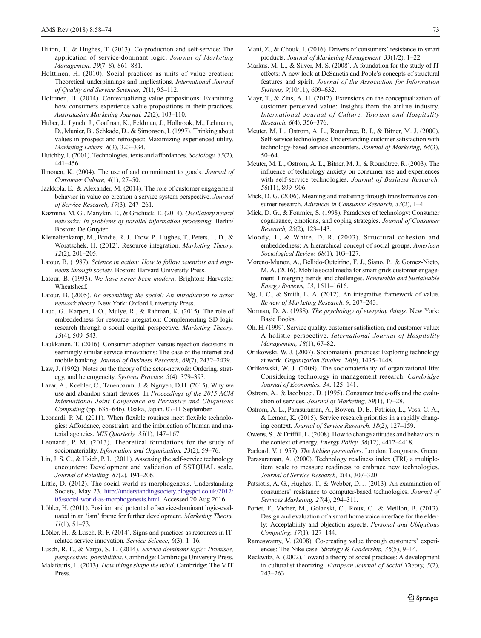- <span id="page-15-0"></span>Hilton, T., & Hughes, T. (2013). Co-production and self-service: The application of service-dominant logic. Journal of Marketing Management, 29(7–8), 861–881.
- Holttinen, H. (2010). Social practices as units of value creation: Theoretical underpinnings and implications. International Journal of Quality and Service Sciences, 2(1), 95–112.
- Holttinen, H. (2014). Contextualizing value propositions: Examining how consumers experience value propositions in their practices. Australasian Marketing Journal, 22(2), 103–110.
- Huber, J., Lynch, J., Corfman, K., Feldman, J., Holbrook, M., Lehmann, D., Munier, B., Schkade, D., & Simonson, I. (1997). Thinking about values in prospect and retrospect: Maximizing experienced utility. Marketing Letters, 8(3), 323–334.
- Hutchby, I. (2001). Technologies, texts and affordances. Sociology, 35(2), 441–456.
- Ilmonen, K. (2004). The use of and commitment to goods. Journal of Consumer Culture, 4(1), 27–50.
- Jaakkola, E., & Alexander, M. (2014). The role of customer engagement behavior in value co-creation a service system perspective. Journal of Service Research, 17(3), 247–261.
- Kazmina, M. G., Manykin, E., & Grichuck, E. (2014). Oscillatory neural networks: In problems of parallel information processing. Berlin/ Boston: De Gruyter.
- Kleinaltenkamp, M., Brodie, R. J., Frow, P., Hughes, T., Peters, L. D., & Woratschek, H. (2012). Resource integration. Marketing Theory, 12(2), 201–205.
- Latour, B. (1987). Science in action: How to follow scientists and engineers through society. Boston: Harvard University Press.
- Latour, B. (1993). We have never been modern. Brighton: Harvester Wheatsheaf.
- Latour, B. (2005). Re-assembling the social: An introduction to actor network theory. New York: Oxford University Press.
- Laud, G., Karpen, I. O., Mulye, R., & Rahman, K. (2015). The role of embeddedness for resource integration: Complementing SD logic research through a social capital perspective. Marketing Theory, 15(4), 509–543.
- Laukkanen, T. (2016). Consumer adoption versus rejection decisions in seemingly similar service innovations: The case of the internet and mobile banking. Journal of Business Research, 69(7), 2432–2439.
- Law, J. (1992). Notes on the theory of the actor-network: Ordering, strategy, and heterogeneity. Systems Practice, 5(4), 379–393.
- Lazar, A., Koehler, C., Tanenbaum, J. & Nguyen, D.H. (2015). Why we use and abandon smart devices. In Proceedings of the 2015 ACM International Joint Conference on Pervasive and Ubiquitous Computing (pp. 635–646). Osaka, Japan. 07-11 September.
- Leonardi, P. M. (2011). When flexible routines meet flexible technologies: Affordance, constraint, and the imbrication of human and material agencies. MIS Quarterly, 35(1), 147–167.
- Leonardi, P. M. (2013). Theoretical foundations for the study of sociomateriality. Information and Organization, 23(2), 59–76.
- Lin, J. S. C., & Hsieh, P. L. (2011). Assessing the self-service technology encounters: Development and validation of SSTQUAL scale. Journal of Retailing, 87(2), 194–206.
- Little, D. (2012). The social world as morphogenesis. Understanding Society, May 23. [http://understandingsociety.blogspot.co.uk/2012/](http://understandingsociety.blogspot.co.uk/2012/05/social-world-as-morphogenesis.html) [05/social-world-as-morphogenesis.html.](http://understandingsociety.blogspot.co.uk/2012/05/social-world-as-morphogenesis.html) Accessed 20 Aug 2016.
- Löbler, H. (2011). Position and potential of service-dominant logic-evaluated in an 'ism' frame for further development. Marketing Theory,  $11(1)$ , 51–73.
- Löbler, H., & Lusch, R. F. (2014). Signs and practices as resources in ITrelated service innovation. Service Science, 6(3), 1–16.
- Lusch, R. F., & Vargo, S. L. (2014). Service-dominant logic: Premises, perspectives, possibilities. Cambridge: Cambridge University Press.
- Malafouris, L. (2013). How things shape the mind. Cambridge: The MIT Press.
- Mani, Z., & Chouk, I. (2016). Drivers of consumers' resistance to smart products. Journal of Marketing Management, 33(1/2), 1–22.
- Markus, M. L., & Silver, M. S. (2008). A foundation for the study of IT effects: A new look at DeSanctis and Poole's concepts of structural features and spirit. Journal of the Association for Information Systems, 9(10/11), 609–632.
- Mayr, T., & Zins, A. H. (2012). Extensions on the conceptualization of customer perceived value: Insights from the airline industry. International Journal of Culture, Tourism and Hospitality Research, 6(4), 356–376.
- Meuter, M. L., Ostrom, A. L., Roundtree, R. I., & Bitner, M. J. (2000). Self-service technologies: Understanding customer satisfaction with technology-based service encounters. Journal of Marketing, 64(3), 50–64.
- Meuter, M. L., Ostrom, A. L., Bitner, M. J., & Roundtree, R. (2003). The influence of technology anxiety on consumer use and experiences with self-service technologies. Journal of Business Research, 56(11), 899–906.
- Mick, D. G. (2006). Meaning and mattering through transformative consumer research. Advances in Consumer Research, 33(2), 1–4.
- Mick, D. G., & Fournier, S. (1998). Paradoxes of technology: Consumer cognizance, emotions, and coping strategies. Journal of Consumer Research, 25(2), 123–143.
- Moody, J., & White, D. R. (2003). Structural cohesion and embeddedness: A hierarchical concept of social groups. American Sociological Review, 68(1), 103–127.
- Moreno-Munoz, A., Bellido-Outeirino, F. J., Siano, P., & Gomez-Nieto, M. A. (2016). Mobile social media for smart grids customer engagement: Emerging trends and challenges. Renewable and Sustainable Energy Reviews, 53, 1611–1616.
- Ng, I. C., & Smith, L. A. (2012). An integrative framework of value. Review of Marketing Research, 9, 207–243.
- Norman, D. A. (1988). The psychology of everyday things. New York: Basic Books.
- Oh, H. (1999). Service quality, customer satisfaction, and customer value: A holistic perspective. International Journal of Hospitality Management, 18(1), 67–82.
- Orlikowski, W. J. (2007). Sociomaterial practices: Exploring technology at work. Organization Studies, 28(9), 1435–1448.
- Orlikowski, W. J. (2009). The sociomateriality of organizational life: Considering technology in management research. Cambridge Journal of Economics, 34, 125–141.
- Ostrom, A., & Iacobucci, D. (1995). Consumer trade-offs and the evaluation of services. Journal of Marketing, 59(1), 17–28.
- Ostrom, A. L., Parasuraman, A., Bowen, D. E., Patricio, L., Voss, C. A., & Lemon, K. (2015). Service research priorities in a rapidly changing context. Journal of Service Research, 18(2), 127–159.
- Owens, S., & Driffill, L. (2008). How to change attitudes and behaviors in the context of energy. Energy Policy, 36(12), 4412–4418.
- Packard, V. (1957). The hidden persuaders. London: Longmans, Green.
- Parasuraman, A. (2000). Technology readiness index (TRI) a multipleitem scale to measure readiness to embrace new technologies. Journal of Service Research, 2(4), 307–320.
- Patsiotis, A. G., Hughes, T., & Webber, D. J. (2013). An examination of consumers' resistance to computer-based technologies. Journal of Services Marketing, 27(4), 294–311.
- Portet, F., Vacher, M., Golanski, C., Roux, C., & Meillon, B. (2013). Design and evaluation of a smart home voice interface for the elderly: Acceptability and objection aspects. Personal and Ubiquitous Computing, 17(1), 127–144.
- Ramaswamy, V. (2008). Co-creating value through customers' experiences: The Nike case. Strategy & Leadership, 36(5), 9-14.
- Reckwitz, A. (2002). Toward a theory of social practices: A development in culturalist theorizing. European Journal of Social Theory, 5(2), 243–263.